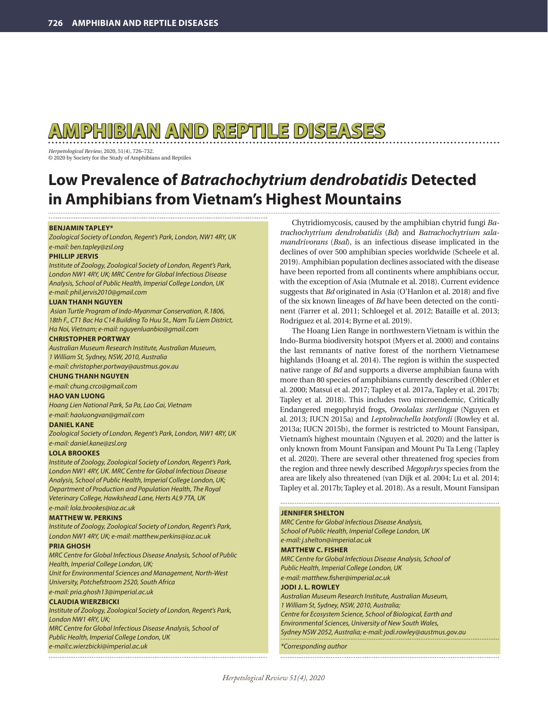# **AMPHIBIAN AND REPTILE DISEASES**

*Herpetological Review*, 2020, 51(4), 726–732. © 2020 by Society for the Study of Amphibians and Reptiles

## **Low Prevalence of** *Batrachochytrium dendrobatidis* **Detected in Amphibians from Vietnam's Highest Mountains**

## **BENJAMIN TAPLEY\***

*Zoological Society of London, Regent's Park, London, NW1 4RY, UK e-mail: ben.tapley@zsl.org*

## **PHILLIP JERVIS**

*Institute of Zoology, Zoological Society of London, Regent's Park, London NW1 4RY, UK; MRC Centre for Global Infectious Disease Analysis, School of Public Health, Imperial College London, UK e-mail: phil.jervis2010@gmail.com*

## **LUAN THANH NGUYEN**

 *Asian Turtle Program of Indo-Myanmar Conservation, R.1806, 18th F., CT1 Bac Ha C14 Building To Huu St., Nam Tu Liem District, Ha Noi, Vietnam; e-mail: nguyenluanbio@gmail.com*

## **CHRISTOPHER PORTWAY**

*Australian Museum Research Institute, Australian Museum, 1 William St, Sydney, NSW, 2010, Australia e-mail: christopher.portway@austmus.gov.au*

## **CHUNG THANH NGUYEN**

*e-mail: chung.crco@gmail.com*

## **HAO VAN LUONG**

*Hoang Lien National Park, Sa Pa, Lao Cai, Vietnam e-mail: haoluongvan@gmail.com* 

## **DANIEL KANE**

*Zoological Society of London, Regent's Park, London, NW1 4RY, UK e-mail: daniel.kane@zsl.org*

## **LOLA BROOKES**

*Institute of Zoology, Zoological Society of London, Regent's Park, London NW1 4RY, UK. MRC Centre for Global Infectious Disease Analysis, School of Public Health, Imperial College London, UK; Department of Production and Population Health, The Royal Veterinary College, Hawkshead Lane, Herts AL9 7TA, UK e-mail: lola.brookes@ioz.ac.uk*

## **MATTHEW W. PERKINS**

*Institute of Zoology, Zoological Society of London, Regent's Park, London NW1 4RY, UK; e-mail: matthew.perkins@ioz.ac.uk*

## **PRIA GHOSH**

*MRC Centre for Global Infectious Disease Analysis, School of Public Health, Imperial College London, UK; Unit for Environmental Sciences and Management, North-West University, Potchefstroom 2520, South Africa e-mail: pria.ghosh13@imperial.ac.uk*

## **CLAUDIA WIERZBICKI**

*Institute of Zoology, Zoological Society of London, Regent's Park, London NW1 4RY, UK;*

*MRC Centre for Global Infectious Disease Analysis, School of Public Health, Imperial College London, UK e-mail:c.wierzbicki@imperial.ac.uk*

Chytridiomycosis, caused by the amphibian chytrid fungi *Batrachochytrium dendrobatidis* (*Bd*) and *Batrachochytrium salamandrivorans* (*Bsal*), is an infectious disease implicated in the declines of over 500 amphibian species worldwide (Scheele et al. 2019). Amphibian population declines associated with the disease have been reported from all continents where amphibians occur, with the exception of Asia (Mutnale et al. 2018). Current evidence suggests that *Bd* originated in Asia (O'Hanlon et al. 2018) and five of the six known lineages of *Bd* have been detected on the continent (Farrer et al. 2011; Schloegel et al. 2012; Bataille et al. 2013; Rodriguez et al. 2014; Byrne et al. 2019).

The Hoang Lien Range in northwestern Vietnam is within the Indo-Burma biodiversity hotspot (Myers et al. 2000) and contains the last remnants of native forest of the northern Vietnamese highlands (Hoang et al. 2014). The region is within the suspected native range of *Bd* and supports a diverse amphibian fauna with more than 80 species of amphibians currently described (Ohler et al. 2000; Matsui et al. 2017; Tapley et al. 2017a, Tapley et al. 2017b; Tapley et al. 2018). This includes two microendemic, Critically Endangered megophryid frogs, *Oreolalax sterlingae* (Nguyen et al. 2013; IUCN 2015a) and *Leptobrachella botsfordi* (Rowley et al. 2013a; IUCN 2015b), the former is restricted to Mount Fansipan, Vietnam's highest mountain (Nguyen et al. 2020) and the latter is only known from Mount Fansipan and Mount Pu Ta Leng (Tapley et al. 2020). There are several other threatened frog species from the region and three newly described *Megophrys* species from the area are likely also threatened (van Dijk et al. 2004; Lu et al. 2014; Tapley et al. 2017b; Tapley et al. 2018). As a result, Mount Fansipan

## **JENNIFER SHELTON**

*MRC Centre for Global Infectious Disease Analysis, School of Public Health, Imperial College London, UK e-mail: j.shelton@imperial.ac.uk* **MATTHEW C. FISHER** *MRC Centre for Global Infectious Disease Analysis, School of Public Health, Imperial College London, UK e-mail: matthew.fisher@imperial.ac.uk* **JODI J. L. ROWLEY** *Australian Museum Research Institute, Australian Museum, 1 William St, Sydney, NSW, 2010, Australia; Centre for Ecosystem Science, School of Biological, Earth and Environmental Sciences, University of New South Wales, Sydney NSW 2052, Australia; e-mail: jodi.rowley@austmus.gov.au*

*\*Corresponding author*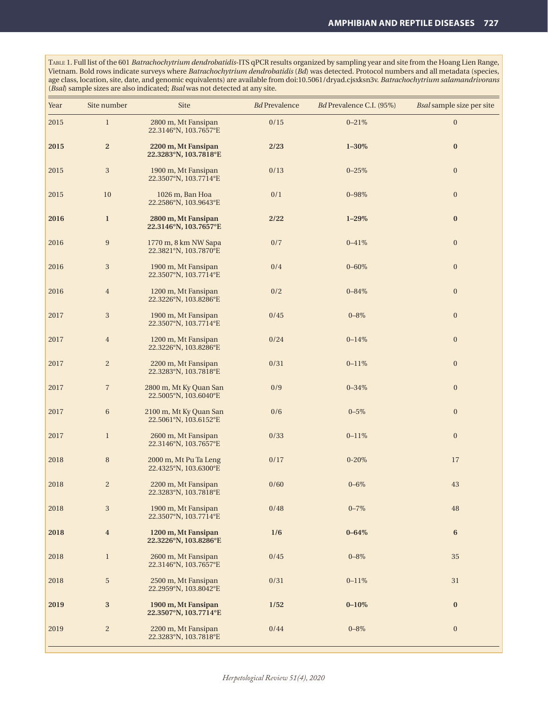Table 1. Full list of the 601 *Batrachochytrium dendrobatidis*-ITS qPCR results organized by sampling year and site from the Hoang Lien Range, Vietnam. Bold rows indicate surveys where *Batrachochytrium dendrobatidis* (*Bd*) was detected. Protocol numbers and all metadata (species, age class, location, site, date, and genomic equivalents) are available from doi:10.5061/dryad.cjsxksn3v. *Batrachochytrium salamandrivorans* (*Bsal*) sample sizes are also indicated; *Bsal* was not detected at any site.

| Year | Site number             | Site                                            | $Bd$ Prevalence | Bd Prevalence C.I. (95%) | Bsal sample size per site |
|------|-------------------------|-------------------------------------------------|-----------------|--------------------------|---------------------------|
| 2015 | $\,1$                   | 2800 m, Mt Fansipan<br>22.3146°N, 103.7657°E    | $0/15$          | $0\text{--}21\%$         | $\boldsymbol{0}$          |
| 2015 | $\overline{\mathbf{c}}$ | 2200 m, Mt Fansipan<br>22.3283°N, 103.7818°E    | 2/23            | $1 - 30\%$               | $\bf{0}$                  |
| 2015 | 3                       | 1900 m, Mt Fansipan<br>22.3507°N, 103.7714°E    | 0/13            | $0 - 25%$                | $\boldsymbol{0}$          |
| 2015 | 10                      | 1026 m, Ban Hoa<br>22.2586°N, 103.9643°E        | 0/1             | $0 - 98\%$               | $\boldsymbol{0}$          |
| 2016 | $\mathbf{1}$            | 2800 m, Mt Fansipan<br>22.3146°N, 103.7657°E    | 2/22            | $1 - 29\%$               | $\bf{0}$                  |
| 2016 | $\boldsymbol{9}$        | 1770 m, 8 km NW Sapa<br>22.3821°N, 103.7870°E   | 0/7             | $0 - 41\%$               | $\boldsymbol{0}$          |
| 2016 | $\,3$                   | 1900 m, Mt Fansipan<br>22.3507°N, 103.7714°E    | 0/4             | $0 - 60\%$               | $\boldsymbol{0}$          |
| 2016 | $\overline{4}$          | 1200 m, Mt Fansipan<br>22.3226°N, 103.8286°E    | 0/2             | $0 - 84\%$               | $\boldsymbol{0}$          |
| 2017 | $\,3$                   | 1900 m, Mt Fansipan<br>22.3507°N, 103.7714°E    | 0/45            | $0 - 8\%$                | $\boldsymbol{0}$          |
| 2017 | $\overline{4}$          | 1200 m, Mt Fansipan<br>22.3226°N, 103.8286°E    | 0/24            | $0 - 14%$                | $\boldsymbol{0}$          |
| 2017 | $\overline{c}$          | 2200 m, Mt Fansipan<br>22.3283°N, 103.7818°E    | 0/31            | $0 - 11\%$               | $\boldsymbol{0}$          |
| 2017 | $\overline{7}$          | 2800 m, Mt Ky Quan San<br>22.5005°N, 103.6040°E | 0/9             | $0 - 34\%$               | $\boldsymbol{0}$          |
| 2017 | $\,6\,$                 | 2100 m, Mt Ky Quan San<br>22.5061°N, 103.6152°E | 0/6             | $0 - 5\%$                | $\boldsymbol{0}$          |
| 2017 | $\mathbf{1}$            | 2600 m, Mt Fansipan<br>22.3146°N, 103.7657°E    | 0/33            | $0 - 11\%$               | $\mathbf{0}$              |
| 2018 | $\, 8$                  | 2000 m, Mt Pu Ta Leng<br>22.4325°N, 103.6300°E  | $0/17$          | $0 - 20\%$               | 17                        |
| 2018 | $\overline{c}$          | 2200 m, Mt Fansipan<br>22.3283°N, 103.7818°E    | 0/60            | $0 - 6\%$                | 43                        |
| 2018 | $\,3$                   | 1900 m, Mt Fansipan<br>22.3507°N, 103.7714°E    | $0/48$          | $0 - 7\%$                | 48                        |
| 2018 | $\overline{\mathbf{4}}$ | 1200 m, Mt Fansipan<br>22.3226°N, 103.8286°E    | 1/6             | $0 - 64\%$               | $6\phantom{.0}$           |
| 2018 | $\mathbf{1}$            | 2600 m, Mt Fansipan<br>22.3146°N, 103.7657°E    | 0/45            | $0 - 8\%$                | 35                        |
| 2018 | $\sqrt{5}$              | 2500 m, Mt Fansipan<br>22.2959°N, 103.8042°E    | $0/31\,$        | $0 - 11\%$               | 31                        |
| 2019 | $\bf{3}$                | 1900 m, Mt Fansipan<br>22.3507°N, 103.7714°E    | 1/52            | $0 - 10\%$               | $\bf{0}$                  |
| 2019 | $\overline{c}$          | 2200 m, Mt Fansipan<br>22.3283°N, 103.7818°E    | 0/44            | $0 - 8\%$                | $\boldsymbol{0}$          |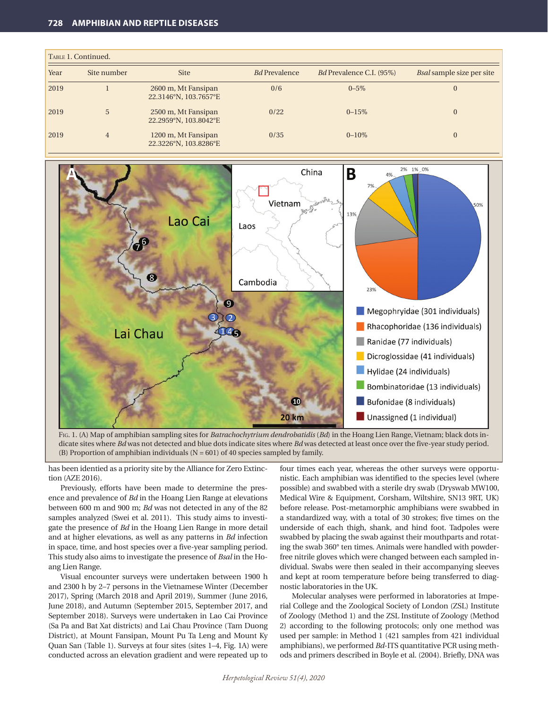|      | TABLE 1. Continued. |                                              |                      |                                 |                                  |
|------|---------------------|----------------------------------------------|----------------------|---------------------------------|----------------------------------|
| Year | Site number         | <b>Site</b>                                  | <b>Bd</b> Prevalence | <i>Bd</i> Prevalence C.I. (95%) | <i>Bsal</i> sample size per site |
| 2019 |                     | 2600 m, Mt Fansipan<br>22.3146°N, 103.7657°E | 0/6                  | $0 - 5\%$                       |                                  |
| 2019 | 5                   | 2500 m, Mt Fansipan<br>22.2959°N, 103.8042°E | 0/22                 | $0 - 15\%$                      |                                  |
| 2019 | 4                   | 1200 m, Mt Fansipan<br>22.3226°N, 103.8286°E | 0/35                 | $0 - 10\%$                      | $\overline{0}$                   |



Fig. 1. (A) Map of amphibian sampling sites for *Batrachochytrium dendrobatidis* (*Bd*) in the Hoang Lien Range, Vietnam; black dots indicate sites where *Bd* was not detected and blue dots indicate sites where *Bd* was detected at least once over the five-year study period. (B) Proportion of amphibian individuals  $(N = 601)$  of 40 species sampled by family.

has been identied as a priority site by the Alliance for Zero Extinction (AZE 2016).

Previously, efforts have been made to determine the presence and prevalence of *Bd* in the Hoang Lien Range at elevations between 600 m and 900 m; *Bd* was not detected in any of the 82 samples analyzed (Swei et al. 2011). This study aims to investigate the presence of *Bd* in the Hoang Lien Range in more detail and at higher elevations, as well as any patterns in *Bd* infection in space, time, and host species over a five-year sampling period. This study also aims to investigate the presence of *Bsal* in the Hoang Lien Range.

Visual encounter surveys were undertaken between 1900 h and 2300 h by 2–7 persons in the Vietnamese Winter (December 2017), Spring (March 2018 and April 2019), Summer (June 2016, June 2018), and Autumn (September 2015, September 2017, and September 2018). Surveys were undertaken in Lao Cai Province (Sa Pa and Bat Xat districts) and Lai Chau Province (Tam Duong District), at Mount Fansipan, Mount Pu Ta Leng and Mount Ky Quan San (Table 1). Surveys at four sites (sites 1–4, Fig. 1A) were conducted across an elevation gradient and were repeated up to four times each year, whereas the other surveys were opportunistic. Each amphibian was identified to the species level (where possible) and swabbed with a sterile dry swab (Dryswab MW100, Medical Wire & Equipment, Corsham, Wiltshire, SN13 9RT, UK) before release. Post-metamorphic amphibians were swabbed in a standardized way, with a total of 30 strokes; five times on the underside of each thigh, shank, and hind foot. Tadpoles were swabbed by placing the swab against their mouthparts and rotating the swab 360° ten times. Animals were handled with powderfree nitrile gloves which were changed between each sampled individual. Swabs were then sealed in their accompanying sleeves and kept at room temperature before being transferred to diagnostic laboratories in the UK.

Molecular analyses were performed in laboratories at Imperial College and the Zoological Society of London (ZSL) Institute of Zoology (Method 1) and the ZSL Institute of Zoology (Method 2) according to the following protocols; only one method was used per sample: in Method 1 (421 samples from 421 individual amphibians), we performed *Bd*-ITS quantitative PCR using methods and primers described in Boyle et al. (2004). Briefly, DNA was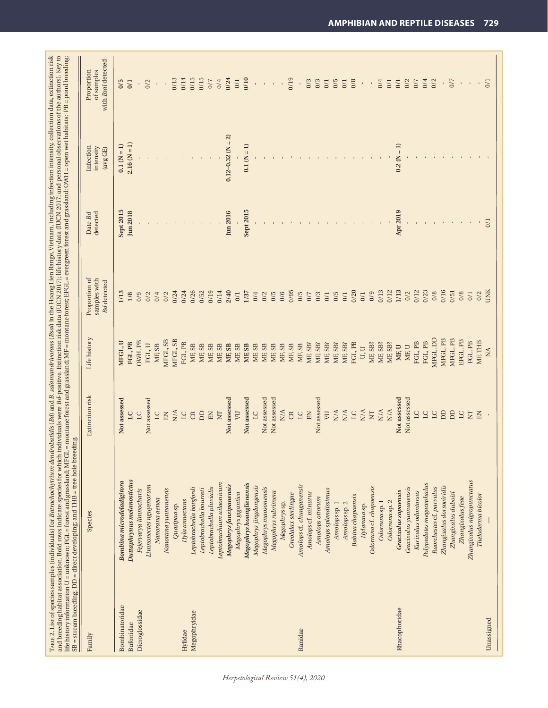|                | and breeding habitat association. Bold rows indicate species for which individuals were Bd-positive. Extinction risk data (IUCN 2017); life history data (IUCN 2017; and personal observations of the authors). Key to<br>TARIE 2. List of species samples (individuals) for Batrachochytrium dendroobatidis (Bd) and B. salamandrivorans (Bsal) in the Hoang Lien Range, Vietnam, including infection intensity, collection data, extinction risk<br>SB = stream breeding; DD = direct developing; and THB = tree hole breeding.<br>life history information U = unknown; FGL = forest and grassland; MFGL |                            |                   | = montane forest and grassland; MF = montane forest; EFGL = evergreen forest and grassland; OWH = open wet habitats; PB = pond breeding; |                     |                                    |                                                |
|----------------|-------------------------------------------------------------------------------------------------------------------------------------------------------------------------------------------------------------------------------------------------------------------------------------------------------------------------------------------------------------------------------------------------------------------------------------------------------------------------------------------------------------------------------------------------------------------------------------------------------------|----------------------------|-------------------|------------------------------------------------------------------------------------------------------------------------------------------|---------------------|------------------------------------|------------------------------------------------|
| Family         | Species                                                                                                                                                                                                                                                                                                                                                                                                                                                                                                                                                                                                     | Extinction risk            | Life history      | Proportion of<br>samples with<br><b>Bd</b> detected                                                                                      | detected<br>Date Bd | Infection<br>intensity<br>(avg GE) | with Bsal detected<br>Proportion<br>of samples |
| Bombinatoridae | Bombina microdeladigitora                                                                                                                                                                                                                                                                                                                                                                                                                                                                                                                                                                                   | Not assessed               | MFGL, U           | 1/13                                                                                                                                     | $S$ ept 2015        | $0.1(N = 1)$                       | 0/5                                            |
| Bufonidae      | Duttaphrynus melanostictus                                                                                                                                                                                                                                                                                                                                                                                                                                                                                                                                                                                  | $\overline{a}$             | FGL, PB           | 1/8                                                                                                                                      | Jun 2018            | $2.16(N = 1)$                      | 0/1                                            |
| Dicroglossidae | Fejervarya limnocharis                                                                                                                                                                                                                                                                                                                                                                                                                                                                                                                                                                                      | $\overline{C}$             | OWH, PB           | 0/9                                                                                                                                      |                     |                                    | $\bar{1}$                                      |
|                | Limnonectes nguyenorum                                                                                                                                                                                                                                                                                                                                                                                                                                                                                                                                                                                      | Not assessed               | FGL, U            | 0/2                                                                                                                                      | $\mathbf{1}$        |                                    | 0/2                                            |
|                | Nanorana aenea                                                                                                                                                                                                                                                                                                                                                                                                                                                                                                                                                                                              | $\overline{C}$             | MF, SB            | 0/4                                                                                                                                      |                     |                                    |                                                |
|                | Nanorana yunnanensis                                                                                                                                                                                                                                                                                                                                                                                                                                                                                                                                                                                        | $\mathop{\rm EN}\nolimits$ | MFGL, SB          | 0/2                                                                                                                                      |                     |                                    |                                                |
|                | Quasipaa sp.                                                                                                                                                                                                                                                                                                                                                                                                                                                                                                                                                                                                | N/A                        | MFGL, SB          | 0/24                                                                                                                                     |                     |                                    | 0/13                                           |
| Hylidae        | Hyla annectans                                                                                                                                                                                                                                                                                                                                                                                                                                                                                                                                                                                              | L C                        | FGL, PB           | 0/24                                                                                                                                     |                     |                                    | 0/14                                           |
| Megophryidae   | Leptobrachella botsfordi                                                                                                                                                                                                                                                                                                                                                                                                                                                                                                                                                                                    | $\mathfrak{B}$             | MF, SB            | 0/26                                                                                                                                     |                     |                                    | 0/15                                           |
|                | Leptobrachella bourreti                                                                                                                                                                                                                                                                                                                                                                                                                                                                                                                                                                                     | <b>DD</b>                  | MF, SB            | 0/52                                                                                                                                     |                     |                                    | 0/15                                           |
|                | Leptobrachella pluvialis                                                                                                                                                                                                                                                                                                                                                                                                                                                                                                                                                                                    | $\mathop{\rm EN}\nolimits$ | MF, SB            | 0/19                                                                                                                                     |                     |                                    | 0/7                                            |
|                | Leptobrachium ailaonicum                                                                                                                                                                                                                                                                                                                                                                                                                                                                                                                                                                                    | $\Sigma$                   | MF, SB            | 0/14                                                                                                                                     |                     |                                    | 0/4                                            |
|                | Megophrys fansipanensis                                                                                                                                                                                                                                                                                                                                                                                                                                                                                                                                                                                     | Not assessed               | MF, SB            | 2/40                                                                                                                                     | Jun 2016            | $0.12 - 0.32$ (N = 2)              | 0/24                                           |
|                | Megophrys gigantica                                                                                                                                                                                                                                                                                                                                                                                                                                                                                                                                                                                         | $\overline{\nu}$           | MF, SB            | 0/1                                                                                                                                      |                     |                                    | $0/1$                                          |
|                | Megophrys hoanglienensis                                                                                                                                                                                                                                                                                                                                                                                                                                                                                                                                                                                    | Not assessed               | MF, SB            | 1/37                                                                                                                                     | $S$ ept 2015        | $\frac{1}{1}$<br>$0.1\,$ (N        | 0/10                                           |
|                | Megophrys jingdongensis                                                                                                                                                                                                                                                                                                                                                                                                                                                                                                                                                                                     | $\overline{C}$             | MF, SB            | 0/4                                                                                                                                      |                     |                                    | $\bar{1}$                                      |
|                | Megophrys maosonensis                                                                                                                                                                                                                                                                                                                                                                                                                                                                                                                                                                                       | Not assessed               | MF, SB            | 0/2                                                                                                                                      |                     |                                    | $\mathbf{I}$                                   |
|                | Megophrys rubrimera                                                                                                                                                                                                                                                                                                                                                                                                                                                                                                                                                                                         | Not assessed               | MF, SB            | 0/5                                                                                                                                      |                     |                                    |                                                |
|                | Megophryssp.                                                                                                                                                                                                                                                                                                                                                                                                                                                                                                                                                                                                | N/A                        | MF, SB            | 0/6                                                                                                                                      |                     |                                    |                                                |
|                | Oreolalax sterlingae                                                                                                                                                                                                                                                                                                                                                                                                                                                                                                                                                                                        | $\mathfrak{B}$             | MF, SB            | 0/95                                                                                                                                     |                     |                                    | 0/19                                           |
| Ranidae        | Amolops cf. chunganensis                                                                                                                                                                                                                                                                                                                                                                                                                                                                                                                                                                                    | $\overline{\rm L}$         | MF, SB            | 0/5                                                                                                                                      |                     |                                    | $\,$                                           |
|                | Amolops cf. minutus                                                                                                                                                                                                                                                                                                                                                                                                                                                                                                                                                                                         | EN                         | MF, SB?           | 0/7                                                                                                                                      |                     |                                    | 0/3                                            |
|                | Amolops ottorum                                                                                                                                                                                                                                                                                                                                                                                                                                                                                                                                                                                             | Not assessed               | MF, SB?           | 0/3                                                                                                                                      |                     |                                    | 0/3                                            |
|                | Amolops splendissimus                                                                                                                                                                                                                                                                                                                                                                                                                                                                                                                                                                                       | $\overline{\nu}$           | MF, SB?           | 0/1                                                                                                                                      |                     |                                    | $0/1$                                          |
|                | Amolops sp. 1                                                                                                                                                                                                                                                                                                                                                                                                                                                                                                                                                                                               | N/A                        | MF, SB?           | 0/5                                                                                                                                      |                     |                                    | 0/5                                            |
|                | Amolops sp. 2                                                                                                                                                                                                                                                                                                                                                                                                                                                                                                                                                                                               | N/A                        | MF, SB?           | 0/1                                                                                                                                      |                     |                                    | 0/1                                            |
|                | <b>Babina</b> chapaensis                                                                                                                                                                                                                                                                                                                                                                                                                                                                                                                                                                                    | LC                         | FGL, PB           | 0/20                                                                                                                                     |                     |                                    | 0/8                                            |
|                | Hylarana sp.                                                                                                                                                                                                                                                                                                                                                                                                                                                                                                                                                                                                | N/A                        | U, U              | 0/1                                                                                                                                      |                     |                                    | $\bar{\rm I}$                                  |
|                | Odorrana cf. chapaensis                                                                                                                                                                                                                                                                                                                                                                                                                                                                                                                                                                                     | $\overline{\rm N}$         | MF, SB?           | 0/9                                                                                                                                      |                     |                                    |                                                |
|                | Odorrana sp. 1                                                                                                                                                                                                                                                                                                                                                                                                                                                                                                                                                                                              | $_{\rm N/A}$               | ME <sub>SB?</sub> | 0/13                                                                                                                                     |                     |                                    | 0/4                                            |
|                | Odorrana sp. 2                                                                                                                                                                                                                                                                                                                                                                                                                                                                                                                                                                                              | $_{\rm N/A}$               | MF, SB?           | 0/12                                                                                                                                     |                     |                                    | 0/1                                            |
| Rhacophoridae  | Gracixalus sapaensis                                                                                                                                                                                                                                                                                                                                                                                                                                                                                                                                                                                        | Not assessed               | MF, U             | 1/13                                                                                                                                     | Apr 2019            | $\overline{1}$<br>0.2 <sup>°</sup> | 0/1                                            |
|                | Gracixalus yunnanensis                                                                                                                                                                                                                                                                                                                                                                                                                                                                                                                                                                                      | Not assessed               | MF, U             | 0/2                                                                                                                                      |                     |                                    | 0/2                                            |
|                | Kurixalus odontarsus                                                                                                                                                                                                                                                                                                                                                                                                                                                                                                                                                                                        | $\overline{C}$             | FGL, PB           | 0/12                                                                                                                                     |                     |                                    | 0/7                                            |
|                | Polypedates megacephalus                                                                                                                                                                                                                                                                                                                                                                                                                                                                                                                                                                                    | $\overline{\Xi}$           | FGL, PB           | 0/23                                                                                                                                     |                     |                                    | 0/4                                            |
|                | Raorchestes cf. parvulus                                                                                                                                                                                                                                                                                                                                                                                                                                                                                                                                                                                    | $\overline{\Xi}$           | MFGL, DD          | 0/8                                                                                                                                      |                     |                                    | 0/2                                            |
|                | Zhangixalus dorsoviridis                                                                                                                                                                                                                                                                                                                                                                                                                                                                                                                                                                                    | $\Box$                     | MFGL, PB          | 0/16                                                                                                                                     |                     |                                    | $\,$                                           |
|                | Zhangixalus duboisi                                                                                                                                                                                                                                                                                                                                                                                                                                                                                                                                                                                         | <b>DD</b>                  | MFGL, PB          | 0/51                                                                                                                                     |                     |                                    | 0/7                                            |
|                | Zhangixalus feae                                                                                                                                                                                                                                                                                                                                                                                                                                                                                                                                                                                            | $\overline{C}$             | EFGL, PB          | 0/8                                                                                                                                      |                     |                                    | $\mathbf{I}$                                   |
|                | Zhangixalus nigropunctatus                                                                                                                                                                                                                                                                                                                                                                                                                                                                                                                                                                                  | $\overline{\Sigma}$        | FGL, PB           | 0/1                                                                                                                                      |                     |                                    |                                                |
|                | Theloderma bicolor                                                                                                                                                                                                                                                                                                                                                                                                                                                                                                                                                                                          | $\Xi$                      | ME THB            | 0/2                                                                                                                                      |                     |                                    | $\mathbf{I}$                                   |
| Unassigned     |                                                                                                                                                                                                                                                                                                                                                                                                                                                                                                                                                                                                             |                            | NA                | UNIK                                                                                                                                     | 0/1                 |                                    | 0/1                                            |
|                |                                                                                                                                                                                                                                                                                                                                                                                                                                                                                                                                                                                                             |                            |                   |                                                                                                                                          |                     |                                    |                                                |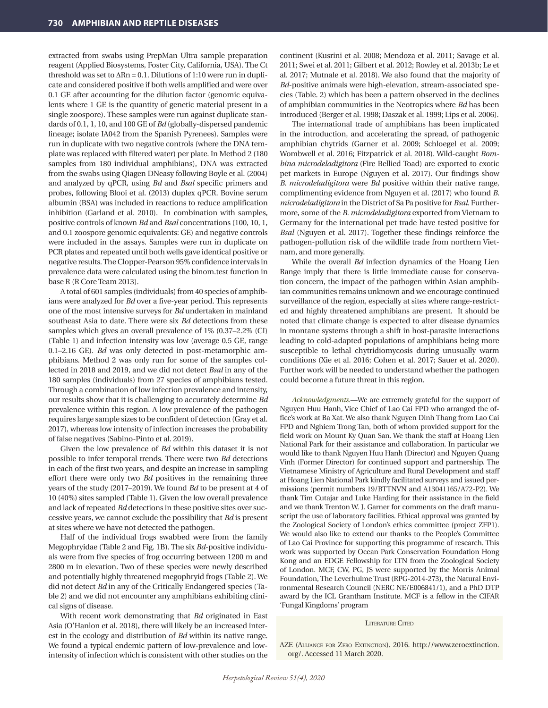extracted from swabs using PrepMan Ultra sample preparation reagent (Applied Biosystems, Foster City, California, USA). The Ct threshold was set to  $\Delta Rn = 0.1$ . Dilutions of 1:10 were run in duplicate and considered positive if both wells amplified and were over 0.1 GE after accounting for the dilution factor (genomic equivalents where 1 GE is the quantity of genetic material present in a single zoospore). These samples were run against duplicate standards of 0.1, 1, 10, and 100 GE of *Bd* (globally-dispersed pandemic lineage; isolate IA042 from the Spanish Pyrenees). Samples were run in duplicate with two negative controls (where the DNA template was replaced with filtered water) per plate. In Method 2 (180 samples from 180 individual amphibians), DNA was extracted from the swabs using Qiagen DNeasy following Boyle et al. (2004) and analyzed by qPCR, using *Bd* and *Bsal* specific primers and probes, following Blooi et al. (2013) duplex qPCR. Bovine serum albumin (BSA) was included in reactions to reduce amplification inhibition (Garland et al. 2010). In combination with samples, positive controls of known *Bd* and *Bsal* concentrations (100, 10, 1, and 0.1 zoospore genomic equivalents: GE) and negative controls were included in the assays. Samples were run in duplicate on PCR plates and repeated until both wells gave identical positive or negative results. The Clopper-Pearson 95% confidence intervals in prevalence data were calculated using the binom.test function in base R (R Core Team 2013).

A total of 601 samples (individuals) from 40 species of amphibians were analyzed for *Bd* over a five-year period. This represents one of the most intensive surveys for *Bd* undertaken in mainland southeast Asia to date. There were six *Bd* detections from these samples which gives an overall prevalence of 1% (0.37–2.2% (CI) (Table 1) and infection intensity was low (average 0.5 GE, range 0.1–2.16 GE). *Bd* was only detected in post-metamorphic amphibians. Method 2 was only run for some of the samples collected in 2018 and 2019, and we did not detect *Bsal* in any of the 180 samples (individuals) from 27 species of amphibians tested. Through a combination of low infection prevalence and intensity, our results show that it is challenging to accurately determine *Bd* prevalence within this region. A low prevalence of the pathogen requires large sample sizes to be confident of detection (Gray et al. 2017), whereas low intensity of infection increases the probability of false negatives (Sabino-Pinto et al. 2019).

Given the low prevalence of *Bd* within this dataset it is not possible to infer temporal trends. There were two *Bd* detections in each of the first two years, and despite an increase in sampling effort there were only two *Bd* positives in the remaining three years of the study (2017–2019). We found *Bd* to be present at 4 of 10 (40%) sites sampled (Table 1). Given the low overall prevalence and lack of repeated *Bd* detections in these positive sites over successive years, we cannot exclude the possibility that *Bd* is present at sites where we have not detected the pathogen*.*

Half of the individual frogs swabbed were from the family Megophryidae (Table 2 and Fig. 1B). The six *Bd*-positive individuals were from five species of frog occurring between 1200 m and 2800 m in elevation. Two of these species were newly described and potentially highly threatened megophryid frogs (Table 2). We did not detect *Bd* in any of the Critically Endangered species (Table 2) and we did not encounter any amphibians exhibiting clinical signs of disease.

With recent work demonstrating that *Bd* originated in East Asia (O'Hanlon et al. 2018), there will likely be an increased interest in the ecology and distribution of *Bd* within its native range. We found a typical endemic pattern of low-prevalence and lowintensity of infection which is consistent with other studies on the continent (Kusrini et al. 2008; Mendoza et al. 2011; Savage et al. 2011; Swei et al. 2011; Gilbert et al. 2012; Rowley et al. 2013b; Le et al. 2017; Mutnale et al. 2018). We also found that the majority of *Bd*-positive animals were high-elevation, stream-associated species (Table. 2) which has been a pattern observed in the declines of amphibian communities in the Neotropics where *Bd* has been introduced (Berger et al. 1998; Daszak et al. 1999; Lips et al. 2006).

The international trade of amphibians has been implicated in the introduction, and accelerating the spread, of pathogenic amphibian chytrids (Garner et al. 2009; Schloegel et al. 2009; Wombwell et al. 2016; Fitzpatrick et al. 2018). Wild-caught *Bombina microdeladigitora* (Fire Bellied Toad) are exported to exotic pet markets in Europe (Nguyen et al. 2017). Our findings show *B. microdeladigitora* were *Bd* positive within their native range, complimenting evidence from Nguyen et al. (2017) who found *B. microdeladigitora* in the District of Sa Pa positive for *Bsal*. Furthermore, some of the *B. microdeladigitora* exported from Vietnam to Germany for the international pet trade have tested positive for *Bsal* (Nguyen et al. 2017). Together these findings reinforce the pathogen-pollution risk of the wildlife trade from northern Vietnam, and more generally.

While the overall *Bd* infection dynamics of the Hoang Lien Range imply that there is little immediate cause for conservation concern, the impact of the pathogen within Asian amphibian communities remains unknown and we encourage continued surveillance of the region, especially at sites where range-restricted and highly threatened amphibians are present. It should be noted that climate change is expected to alter disease dynamics in montane systems through a shift in host-parasite interactions leading to cold-adapted populations of amphibians being more susceptible to lethal chytridiomycosis during unusually warm conditions (Xie et al. 2016; Cohen et al. 2017; Sauer et al. 2020). Further work will be needed to understand whether the pathogen could become a future threat in this region.

*Acknowledgments.*—We are extremely grateful for the support of Nguyen Huu Hanh, Vice Chief of Lao Cai FPD who arranged the office's work at Ba Xat. We also thank Nguyen Dinh Thang from Lao Cai FPD and Nghiem Trong Tan, both of whom provided support for the field work on Mount Ky Quan San. We thank the staff at Hoang Lien National Park for their assistance and collaboration. In particular we would like to thank Nguyen Huu Hanh (Director) and Nguyen Quang Vinh (Former Director) for continued support and partnership. The Vietnamese Ministry of Agriculture and Rural Development and staff at Hoang Lien National Park kindly facilitated surveys and issued permissions (permit numbers 19/BTTNVN and A13041165/A72-P2). We thank Tim Cutajar and Luke Harding for their assistance in the field and we thank Trenton W. J. Garner for comments on the draft manuscript the use of laboratory facilities. Ethical approval was granted by the Zoological Society of London's ethics committee (project ZFP1). We would also like to extend our thanks to the People's Committee of Lao Cai Province for supporting this programme of research. This work was supported by Ocean Park Conservation Foundation Hong Kong and an EDGE Fellowship for LTN from the Zoological Society of London. MCF, CW, PG, JS were supported by the Morris Animal Foundation, The Leverhulme Trust (RPG-2014-273), the Natural Environmental Research Council (NERC NE/E006841/1), and a PhD DTP award by the ICL Grantham Institute. MCF is a fellow in the CIFAR 'Fungal Kingdoms' program

#### LITERATURE CITED

AZE (Alliance for Zero Extinction). 2016. http://www.zeroextinction. org/. Accessed 11 March 2020.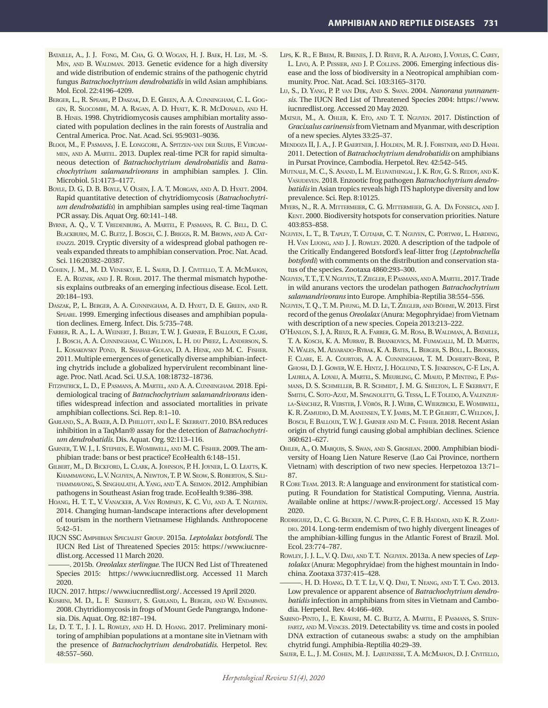- Bataille, A., J. J. Fong, M. Cha, G. O. Wogan, H. J. Baek, H. Lee, M. -S. MIN, AND B. WALDMAN. 2013. Genetic evidence for a high diversity and wide distribution of endemic strains of the pathogenic chytrid fungus *Batrachochytrium dendrobatidis* in wild Asian amphibians. Mol. Ecol. 22:4196–4209.
- Berger, L., R. Speare, P. Daszak, D. E. Green, A. A. Cunningham, C. L. Goggin, R. Slocombe, M. A. Ragan, A. D. Hyatt, K. R. McDonald, and H. B. Hines. 1998. Chytridiomycosis causes amphibian mortality associated with population declines in the rain forests of Australia and Central America. Proc. Nat. Acad. Sci. 95:9031–9036.
- Blooi, M., F. Pasmans, J. E. Longcore, A. Spitzen-van der Sluijs, F. Vercammen, and A. Martel. 2013. Duplex real-time PCR for rapid simultaneous detection of *Batrachochytrium dendrobatidis* and *Batrachochytrium salamandrivorans* in amphibian samples. J. Clin. Microbiol. 51:4173–4177.
- Boyle, D. G, D. B. Boyle, V. Olsen, J. A. T. Morgan, and A. D. Hyatt. 2004. Rapid quantitative detection of chytridiomycosis (*Batrachochytrium dendrobatidis*) in amphibian samples using real-time Taqman PCR assay. Dis. Aquat Org. 60:141–148.
- Byrne, A. Q., V. T. Vredenburg, A. Martel, F. Pasmans, R. C. Bell, D. C. Blackburn, M. C. Bletz, J. Bosch, C. J. Briggs, R. M. Brown, and A. Catenazzi. 2019. Cryptic diversity of a widespread global pathogen reveals expanded threats to amphibian conservation. Proc. Nat. Acad. Sci. 116:20382–20387.
- Cohen, J. M., M. D. Venesky, E. L. Sauer, D. J. Civitello, T. A. McMahon, E. A. ROZNIK, AND J. R. ROHR. 2017. The thermal mismatch hypothesis explains outbreaks of an emerging infectious disease. Ecol. Lett. 20:184–193.
- Daszak, P., L. Berger, A. A. Cunningham, A. D. Hyatt, D. E. Green, and R. Speare. 1999. Emerging infectious diseases and amphibian population declines. Emerg. Infect. Dis. 5:735–748.
- Farrer, R. A., L. A. Weinert, J. Bielby, T. W. J. Garner, F. Balloux, F. Clare, J. Bosch, A. A. Cunningham, C. Weldon, L. H. du Preez, L. Anderson, S. L. Kosakovsky Pond, R. Shahar-Golan, D. A. Henk, and M. C. Fisher. 2011. Multiple emergences of genetically diverse amphibian-infecting chytrids include a globalized hypervirulent recombinant lineage. Proc. Natl. Acad. Sci. U.S.A. 108:18732–18736.
- Fitzpatrick, L. D., F. Pasmans, A. Martel, and A. A. Cunningham. 2018. Epidemiological tracing of *Batrachochytrium salamandrivorans* identifies widespread infection and associated mortalities in private amphibian collections. Sci. Rep. 8:1–10.
- Garland, S., A. Baker, A. D. Phillott, and L. F. Skerratt. 2010. BSA reduces inhibition in a TaqMan® assay for the detection of *Batrachochytrium dendrobatidis*. Dis. Aquat. Org. 92:113–116.
- Garner, T. W. J., I. Stephen, E. Wombwell, and M. C. Fisher. 2009. The amphibian trade: bans or best practice? EcoHealth 6:148–151.
- Gilbert, M., D. Bickford, L. Clark, A. Johnson, P. H. Joyner, L. O. Leatts, K. Khammavong, L. V. Nguyen, A. Newton, T. P. W. Seow, S. Roberton, S. Silithammavong, S. Singhalath, A. Yang, and T. A. Seimon. 2012. Amphibian pathogens in Southeast Asian frog trade. EcoHealth 9:386–398.
- Hoang, H. T. T., V. Vanacker, A. Van Rompaey, K. C. Vu, and A. T. Nguyen. 2014. Changing human-landscape interactions after development of tourism in the northern Vietnamese Highlands. Anthropocene 5:42–51.
- IUCN SSC Amphibian Specialist Group. 2015a. *Leptolalax botsfordi*. The IUCN Red List of Threatened Species 2015: https://www.iucnredlist.org. Accessed 11 March 2020.
- ———. 2015b. *Oreolalax sterlingae*. The IUCN Red List of Threatened Species 2015: https://www.iucnredlist.org. Accessed 11 March 2020.
- IUCN. 2017. https://www.iucnredlist.org/. Accessed 19 April 2020.
- Kusrini, M. D., L. F. Skerratt, S. Garland, L. Berger, and W. Endarwin. 2008. Chytridiomycosis in frogs of Mount Gede Pangrango, Indonesia. Dis. Aquat. Org. 82:187–194.
- Le, D. T. T., J. J. L. Rowley, and H. D. Hoang. 2017. Preliminary monitoring of amphibian populations at a montane site in Vietnam with the presence of *Batrachochytrium dendrobatidis*. Herpetol. Rev. 48:557–560.
- Lips, K. R., F. Brem, R. Brenes, J. D. Reeve, R. A. Alford, J. Voyles, C. Carey, L. Livo, A. P. Pessier, and J. P. Collins. 2006. Emerging infectious disease and the loss of biodiversity in a Neotropical amphibian community. Proc. Nat. Acad. Sci. 103:3165–3170.
- Lu, S., D. Yang, P. P. van Dijk, And S. Swan. 2004. *Nanorana yunnanensis*. The IUCN Red List of Threatened Species 2004: https://www. iucnredlist.org. Accessed 20 May 2020.
- Matsui, M., A. Ohler, K. Eto, and T. T. Nguyen. 2017. Distinction of *Gracixalus carinensis* from Vietnam and Myanmar, with description of a new species. Alytes 33:25–37.
- Mendoza II, J. A., J. P. Gaertner, J. Holden, M. R. J. Forstner, and D. Hanh. 2011. Detection of *Batrachochytrium dendrobatidis* on amphibians in Pursat Province, Cambodia. Herpetol. Rev. 42:542–545.
- Mutnale, M. C., S. Anand, L. M. Eluvathingal, J. K. Roy, G. S. Reddy, and K. VASUDEVEN. 2018. Enzootic frog pathogen Batrachochytrium dendro*batidis* in Asian tropics reveals high ITS haplotype diversity and low prevalence. Sci. Rep. 8:10125.
- Myers, N., R. A. Mittermeier, C. G. Mittermeier, G. A. Da Fonseca, and J. Kent. 2000. Biodiversity hotspots for conservation priorities. Nature 403:853–858.
- Nguyen, L. T., B. Tapley, T. Cutajar, C. T. Nguyen, C. Portway, L. Harding, H. Van Luong, and J. J. Rowley. 2020. A description of the tadpole of the Critically Endangered Botsford's leaf-litter frog (*Leptobrachella botsfordi*) with comments on the distribution and conservation status of the species. Zootaxa 4860:293–300.
- Nguyen, T. T., T. V. Nguyen, T. Ziegler, F. Pasmans, and A. Martel. 2017. Trade in wild anurans vectors the urodelan pathogen *Batrachochytrium salamandrivorans* into Europe. Amphibia-Reptilia 38:554–556.
- Nguyen, T. Q., T. M. Phung, M. D. Le, T. Ziegler, and Böhme, W. 2013. First record of the genus *Oreolalax* (Anura: Megophryidae) from Vietnam with description of a new species. Copeia 2013:213–222.
- O'Hanlon, S. J, A. Rieux, R. A. Farrer, G. M. Rosa, B. Waldman, A. Bataille, T. A. Kosch, K. A. Murray, B. Brankovics, M. Fumagalli, M. D. Martin, N. Wales, M. Alvarado-Rybak, K. A. Bates, L. Berger, S. Böll, L. Brookes, F. Clare, E. A. Courtois, A. A. Cunningham, T. M. Doherty-Bone, P. Ghosh, D. J. Gower, W. E. Hintz, J. Höglund, T. S. Jenkinson, C-F. Lin, A. Laurila, A. Loyau, A. Martel, S. Meurling, C. Miaud, P. Minting, F. Pasmans, D. S. Schmeller, B. R. Schmidt, J. M. G. Shelton, L. F. Skerratt, F. SMITH, C. SOTO-AZAT, M. SPAGNOLETTI, G. TESSA, L. F. TOLEDO, A. VALENZUEla-Sánchez, R. Verster, J. Vörös, R. J. Webb, C. Wierzbicki, E. Wombwell, K. R. Zamudio, D. M. Aanensen, T. Y. James, M. T. P. Gilbert, C. Weldon, J. Bosch, F. Balloux, T. W. J. Garner and M. C. Fisher. 2018. Recent Asian origin of chytrid fungi causing global amphibian declines. Science 360:621–627.
- Ohler, A., O. Marquis, S. Swan, and S. Grosjean. 2000. Amphibian biodiversity of Hoang Lien Nature Reserve (Lao Cai Province, northern Vietnam) with description of two new species. Herpetozoa 13:71– 87.
- R Core Team. 2013. R: A language and environment for statistical computing. R Foundation for Statistical Computing, Vienna, Austria. Available online at https://www.R-project.org/. Accessed 15 May 2020.
- Rodriguez, D., C. G. Becker, N. C. Pupin, C. F. B. Haddad, and K. R. Zamudio. 2014. Long-term endemism of two highly divergent lineages of the amphibian-killing fungus in the Atlantic Forest of Brazil. Mol. Ecol. 23:774–787.
- Rowley, J. J. L., V. Q. Dau, and T. T. Nguyen. 2013a. A new species of *Leptolalax* (Anura: Megophryidae) from the highest mountain in Indochina. Zootaxa 3737:415–428.
- ———. H. D. Hoang, D. T. T. Le, V. Q. Dau, T. Neang, and T. T. Cao. 2013. Low prevalence or apparent absence of *Batrachochytrium dendrobatidis* infection in amphibians from sites in Vietnam and Cambodia. Herpetol. Rev. 44:466–469.
- SABINO-PINTO, J., E. KRAUSE, M. C. BLETZ, A. MARTEL, F. PASMANS, S. STEINfartz, and M. Vences. 2019. Detectability vs. time and costs in pooled DNA extraction of cutaneous swabs: a study on the amphibian chytrid fungi. Amphibia-Reptilia 40:29–39.
- Sauer, E. L., J. M. Cohen, M. J. Lajeunesse, T. A. McMahon, D. J. Civitello,